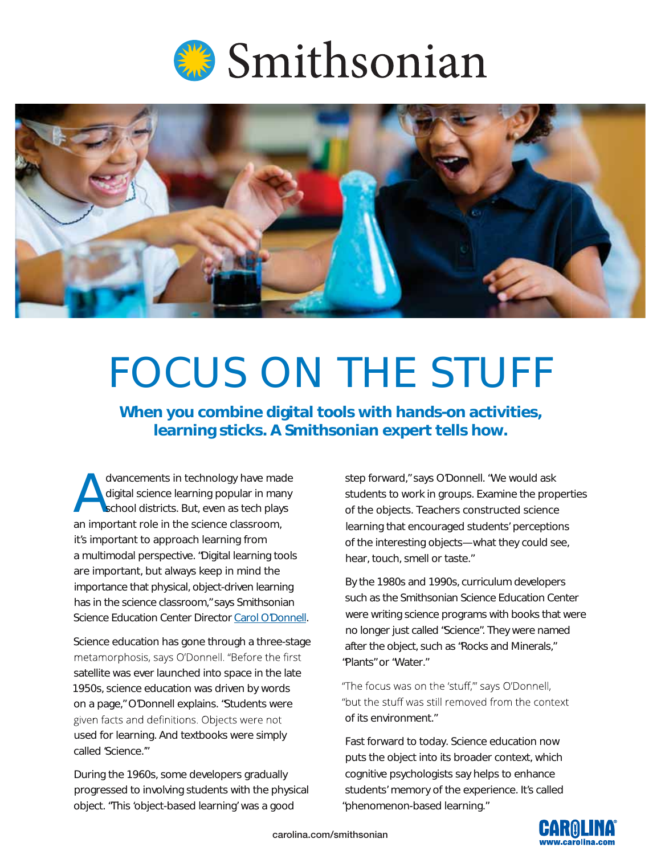



# FOCUS ON THE STUFF

**When you combine digital tools with hands-on activities, learning sticks. A Smithsonian expert tells how.**

dvancements in technology have made<br>digital science learning popular in many<br>school districts. But, even as tech plays digital science learning popular in many school districts. But, even as tech plays an important role in the science classroom, it's important to approach learning from a multimodal perspective. "Digital learning tools are important, but always keep in mind the importance that physical, object-driven learning has in the science classroom," says Smithsonian Science Education Center Direct[or](https://www.si.edu/about/bios/carol-odonnell) [Carol O'Donnell](http://newsdesk.si.edu/about/bios/carol-odonnell)[.](https://www.si.edu/about/bios/carol-odonnell) 

Science education has gone through a three-stage metamorphosis, says O'Donnell. "Before the first satellite was ever launched into space in the late 1950s, science education was driven by words on a page," O'Donnell explains. "Students were given facts and definitions. Objects were not used for learning. And textbooks were simply called 'Science.'"

During the 1960s, some developers gradually progressed to involving students with the physical object. "This 'object-based learning' was a good

step forward," says O'Donnell. "We would ask students to work in groups. Examine the properties of the objects. Teachers constructed science learning that encouraged students' perceptions of the interesting objects—what they could see, hear, touch, smell or taste."

By the 1980s and 1990s, curriculum developers such as the Smithsonian Science Education Center were writing science programs with books that were no longer just called "Science". They were named after the object, such as "Rocks and Minerals," "Plants" or "Water."

"The focus was on the 'stuff,"' says O'Donnell, "but the stuff was still removed from the context of its environment."

Fast forward to today. Science education now puts the object into its broader context, which cognitive psychologists say helps to enhance students' memory of the experience. It's called "phenomenon-based learning."

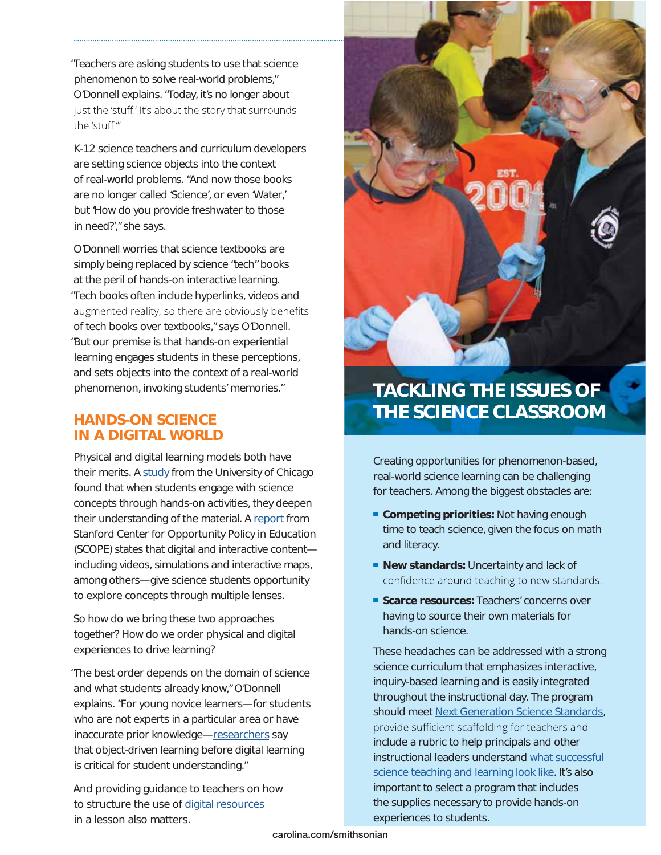"Teachers are asking students to use that science phenomenon to solve real-world problems," O'Donnell explains. "Today, it's no longer about just the 'stuff.' It's about the story that surrounds the 'stuff."

K-12 science teachers and curriculum developers are setting science objects into the context of real-world problems. "And now those books are no longer called 'Science', or even 'Water,' but 'How do you provide freshwater to those in need?'," she says.

O'Donnell worries that science textbooks are simply being replaced by science "tech" books at the peril of hands-on interactive learning. "Tech books often include hyperlinks, videos and augmented reality, so there are obviously benefits of tech books over textbooks," says O'Donnell. "But our premise is that hands-on experiential learning engages students in these perceptions, and sets objects into the context of a real-world phenomenon, invoking students' memories."

#### **HANDS-ON SCIENCE IN A DIGITAL WORLD**

Physical and digital learning models both have their merits. A [study](https://news.uchicago.edu/article/2015/04/29/learning-doing-helps-students-perform-better-science) from the University of Chicago found that when students engage with science concepts through hands-on activities, they deepen their understanding of the material. A [report](https://edpolicy.stanford.edu/sites/default/files/scope-pub-using-technology-report.pdf) from Stanford Center for Opportunity Policy in Education (SCOPE) states that digital and interactive content including videos, simulations and interactive maps, among others—give science students opportunity to explore concepts through multiple lenses.

So how do we bring these two approaches together? How do we order physical and digital experiences to drive learning?

"The best order depends on the domain of science and what students already know," O'Donnell explains. "For young novice learners—for students who are not experts in a particular area or have inaccurate prior knowledge[—researchers](http://www.sciencedirect.com/science/article/pii/S0885200612000117) say that object-driven learning before digital learning is critical for student understanding."

And providing guidance to teachers on how to structure the use of [digital resources](http://www.tandfonline.com/doi/abs/10.1080/1046560X.2016.1277600)  in a lesson also matters.



### **TACKLING THE ISSUES OF THE SCIENCE CLASSROOM**

Creating opportunities for phenomenon-based, real-world science learning can be challenging for teachers. Among the biggest obstacles are:

- **Competing priorities:** Not having enough time to teach science, given the focus on math and literacy.
- **New standards:** Uncertainty and lack of confidence around teaching to new standards.
- **Scarce resources: Teachers' concerns over** having to source their own materials for hands-on science.

These headaches can be addressed with a strong science curriculum that emphasizes interactive, inquiry-based learning and is easily integrated throughout the instructional day. The program should meet [Next Generation Science Standards](https://www.nextgenscience.org/), provide sufficient scaffolding for teachers and include a rubric to help principals and other instructional leaders understand [what successful](https://www.carolina.com/teacher-resources/Document/principals-walk-through-ngss-checklist/tr39304.tr)  [science teaching and learning look like.](https://www.carolina.com/teacher-resources/Document/principals-walk-through-ngss-checklist/tr39304.tr) It's also important to select a program that includes the supplies necessary to provide hands-on experiences to students.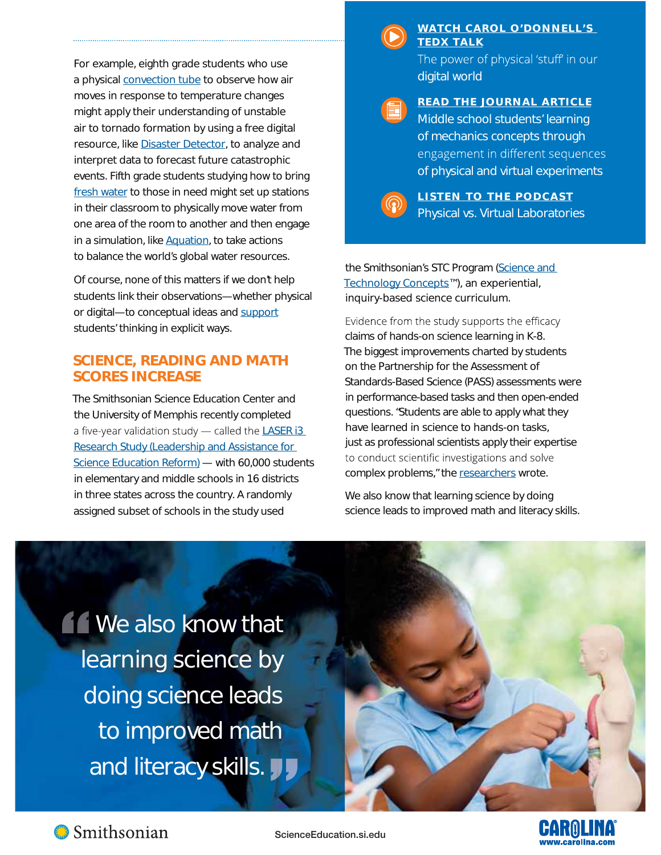For example, eighth grade students who use a physical [convection tube](https://ssec.si.edu/weather-and-climate-systems) to observe how air moves in response to temperature changes might apply their understanding of unstable air to tornado formation by using a free digital resource, like [Disaster Detector,](https://ssec.si.edu/disaster-detector) to analyze and interpret data to forecast future catastrophic events. Fifth grade students studying how to bring [fresh water](https://ssec.si.edu/water) to those in need might set up stations in their classroom to physically move water from one area of the room to another and then engage in a simulation, like [Aquation,](https://ssec.si.edu/aquation) to take actions to balance the world's global water resources.

Of course, none of this matters if we don't help students link their observations—whether physical or digital—to conceptual ideas and [support](http://www.tandfonline.com/doi/full/10.1080/09500690701749305) students' thinking in explicit ways.

#### **SCIENCE, READING AND MATH SCORES INCREASE**

The Smithsonian Science Education Center and the University of Memphis recently completed a five-year validation study  $-$  called the LASER i3 [Research Study \(Leadership and Assistance for](https://ssec.si.edu/laser-model)  [Science Education Reform\)](https://ssec.si.edu/laser-model) — with 60,000 students in elementary and middle schools in 16 districts in three states across the country. A randomly assigned subset of schools in the study used

#### WATCH CAROL O'DONNELL'S **TEDX TALK**

The power of physical 'stuff' in our digital world

#### **READ THE JOURNAL ARTICLE**

Middle school students' learning of mechanics concepts through engagement in different sequences [of physical and virtual experiments](https://www.tandfonline.com/doi/full/10.1080/09500693.2017.1341668)



**LISTEN TO THE PODCAST** [Physical vs. Virtual Laboratories](https://science.sciencemag.org/content/suppl/2013/04/18/340.6130.305.DC1)

the Smithsonian's STC Program (Science and [Technology Concepts™](https://ssec.si.edu/explore-our-curriculum-resources?f%5b0%5d=field_subtype%3Acurriculum)), an experiential, inquiry-based science curriculum.

Evidence from the study supports the efficacy claims of hands-on science learning in K-8. The biggest improvements charted by students on the Partnership for the Assessment of Standards-Based Science (PASS) assessments were in performance-based tasks and then open-ended questions. "Students are able to apply what they have learned in science to hands-on tasks, just as professional scientists apply their expertise to conduct scientific investigations and solve complex problems," the [researchers](https://ssec.si.edu/laser-i3) wrote.

We also know that learning science by doing science leads to improved math and literacy skills.

**Now also know that** learning science by doing science leads to improved math and literacy skills. **JJ** 



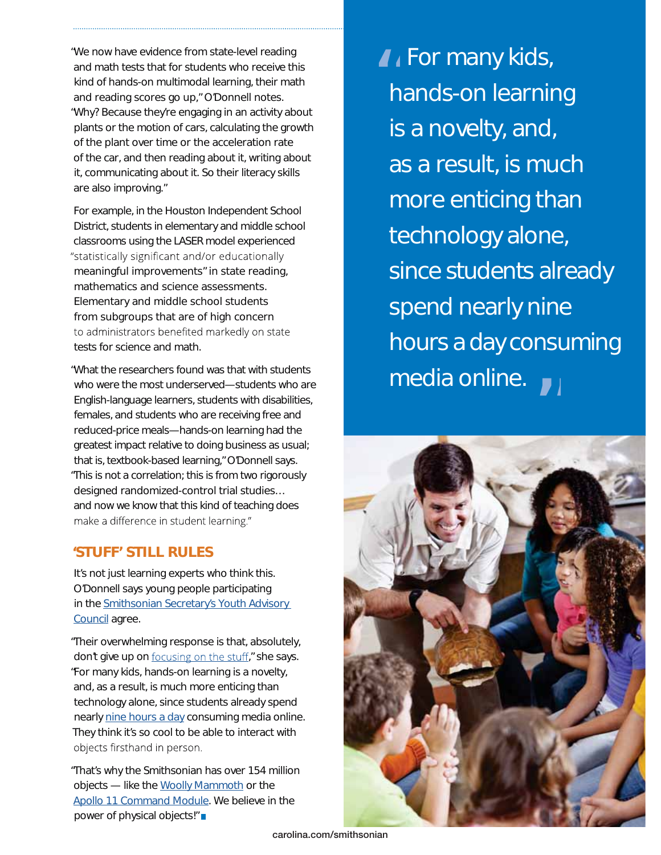"We now have evidence from state-level reading and math tests that for students who receive this kind of hands-on multimodal learning, their math and reading scores go up," O'Donnell notes. "Why? Because they're engaging in an activity about plants or the motion of cars, calculating the growth of the plant over time or the acceleration rate of the car, and then reading about it, writing about it, communicating about it. So their literacy skills are also improving."

For example, in the Houston Independent School District, students in elementary and middle school classrooms using the LASER model experienced "statistically significant and/or educationally meaningful improvements" in state reading, mathematics and science assessments. Elementary and middle school students from subgroups that are of high concern to administrators benefited markedly on state tests for science and math.

"What the researchers found was that with students who were the most underserved—students who are English-language learners, students with disabilities, females, and students who are receiving free and reduced-price meals—hands-on learning had the greatest impact relative to doing business as usual; that is, textbook-based learning," O'Donnell says. "This is not a correlation; this is from two rigorously designed randomized-control trial studies… and now we know that this kind of teaching does make a difference in student learning."

#### **'STUFF' STILL RULES**

It's not just learning experts who think this. O'Donnell says young people participating in the [Smithsonian Secretary's Youth Advisory](https://www.si.edu/youth-programs/secretarys-youth-council)  [Council](https://www.si.edu/youth-programs/secretarys-youth-council) agree.

"Their overwhelming response is that, absolutely, don't give up on focusing on the stuff," she says. "For many kids, hands-on learning is a novelty, and, as a result, is much more enticing than technology alone, since students already spend nearly [nine hours a day](https://www.washingtonpost.com/news/the-switch/wp/2015/11/03/teens-spend-nearly-nine-hours-every-day-consuming-media/?utm_term=.953d333e1867) consuming media online. They think it's so cool to be able to interact with objects firsthand in person.

"That's why the Smithsonian has over 154 million objects — like the [Woolly Mammoth](https://3d.si.edu/explorer?modelid=55) or the [Apollo 11 Command Module](https://3d.si.edu/apollo11cm/). We believe in the power of physical objects!"

I For many kids,<br>hands-on learning hands-on learning is a novelty, and, as a result, is much more enticing than technology alone, since students already spend nearly nine hours a day consuming media online.<br>Tanàna mandritry ny kaodim-paositra 61275.<br>Ny INSEE dia mampiasa ny kaodim-paositra 61208.



**carolina.com/smithsonian**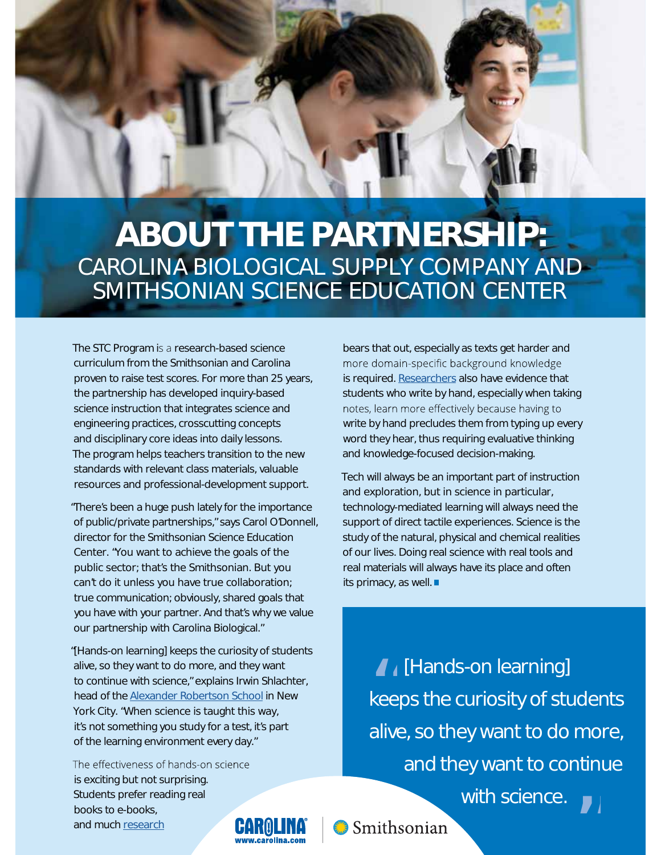

## **ABOUT THE PARTNERSHIP:** CAROLINA BIOLOGICAL SUPPLY COMPANY AND SMITHSONIAN SCIENCE EDUCATION CENTER

The STC Program is a research-based science curriculum from the Smithsonian and Carolina proven to raise test scores. For more than 25 years, the partnership has developed inquiry-based science instruction that integrates science and engineering practices, crosscutting concepts and disciplinary core ideas into daily lessons. The program helps teachers transition to the new standards with relevant class materials, valuable resources and professional-development support.

"There's been a huge push lately for the importance of public/private partnerships," says Carol O'Donnell, director for the Smithsonian Science Education Center. "You want to achieve the goals of the public sector; that's the Smithsonian. But you can't do it unless you have true collaboration; true communication; obviously, shared goals that you have with your partner. And that's why we value our partnership with Carolina Biological."

"[Hands-on learning] keeps the curiosity of students alive, so they want to do more, and they want to continue with science," explains Irwin Shlachter, head of the [Alexander Robertson School](http://www.alexanderrobertson.org/) in New York City. "When science is taught this way, it's not something you study for a test, it's part of the learning environment every day."

The effectiveness of hands-on science is exciting but not surprising. Students prefer reading real books to e-books, and much [research](http://www.techtimes.com/articles/131055/20160205/more-than-90-percent-of-college-students-prefer-reading-paper-books-over-e-books.htm)

bears that out, especially as texts get harder and more domain-specific background knowledge is required. [Researchers](http://journals.sagepub.com/doi/abs/10.1177/0956797614524581) also have evidence that students who write by hand, especially when taking notes, learn more effectively because having to write by hand precludes them from typing up every word they hear, thus requiring evaluative thinking and knowledge-focused decision-making.

Tech will always be an important part of instruction and exploration, but in science in particular, technology-mediated learning will always need the support of direct tactile experiences. Science is the study of the natural, physical and chemical realities of our lives. Doing real science with real tools and real materials will always have its place and often its primacy, as well. ■

> **A** [Hands-on learning] keeps the curiosity of students alive, so they want to do more, and they want to continue with science.  $\overline{\phantom{a}}$   $\overline{\phantom{a}}$   $\overline{\phantom{a}}$   $\overline{\phantom{a}}$   $\overline{\phantom{a}}$   $\overline{\phantom{a}}$   $\overline{\phantom{a}}$   $\overline{\phantom{a}}$   $\overline{\phantom{a}}$   $\overline{\phantom{a}}$   $\overline{\phantom{a}}$   $\overline{\phantom{a}}$   $\overline{\phantom{a}}$   $\overline{\phantom{a}}$   $\overline{\phantom{a}}$   $\overline{\phantom{a}}$   $\overline{\phantom{a}}$   $\overline{\phantom{a}}$   $\overline{\$ "



Smithsonian